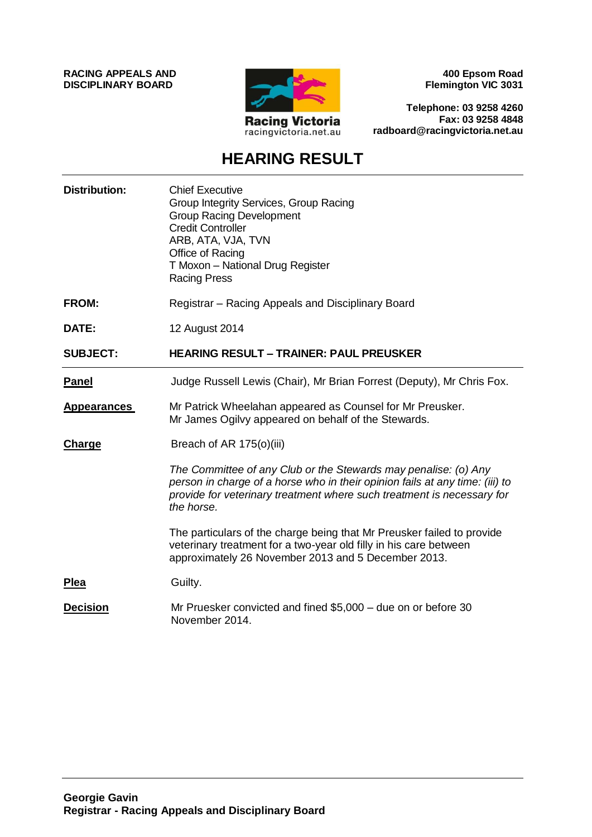**RACING APPEALS AND DISCIPLINARY BOARD**



**400 Epsom Road Flemington VIC 3031**

**Telephone: 03 9258 4260 Fax: 03 9258 4848 radboard@racingvictoria.net.au**

## **HEARING RESULT**

| <b>Distribution:</b> | <b>Chief Executive</b><br>Group Integrity Services, Group Racing<br><b>Group Racing Development</b><br><b>Credit Controller</b><br>ARB, ATA, VJA, TVN<br>Office of Racing<br>T Moxon - National Drug Register<br><b>Racing Press</b>    |
|----------------------|-----------------------------------------------------------------------------------------------------------------------------------------------------------------------------------------------------------------------------------------|
| <b>FROM:</b>         | Registrar - Racing Appeals and Disciplinary Board                                                                                                                                                                                       |
| DATE:                | 12 August 2014                                                                                                                                                                                                                          |
| <b>SUBJECT:</b>      | <b>HEARING RESULT - TRAINER: PAUL PREUSKER</b>                                                                                                                                                                                          |
| <b>Panel</b>         | Judge Russell Lewis (Chair), Mr Brian Forrest (Deputy), Mr Chris Fox.                                                                                                                                                                   |
| <b>Appearances</b>   | Mr Patrick Wheelahan appeared as Counsel for Mr Preusker.<br>Mr James Ogilvy appeared on behalf of the Stewards.                                                                                                                        |
| <b>Charge</b>        | Breach of AR 175(o)(iii)                                                                                                                                                                                                                |
|                      | The Committee of any Club or the Stewards may penalise: (o) Any<br>person in charge of a horse who in their opinion fails at any time: (iii) to<br>provide for veterinary treatment where such treatment is necessary for<br>the horse. |
|                      | The particulars of the charge being that Mr Preusker failed to provide<br>veterinary treatment for a two-year old filly in his care between<br>approximately 26 November 2013 and 5 December 2013.                                      |
| <b>Plea</b>          | Guilty.                                                                                                                                                                                                                                 |
| <b>Decision</b>      | Mr Pruesker convicted and fined \$5,000 - due on or before 30<br>November 2014.                                                                                                                                                         |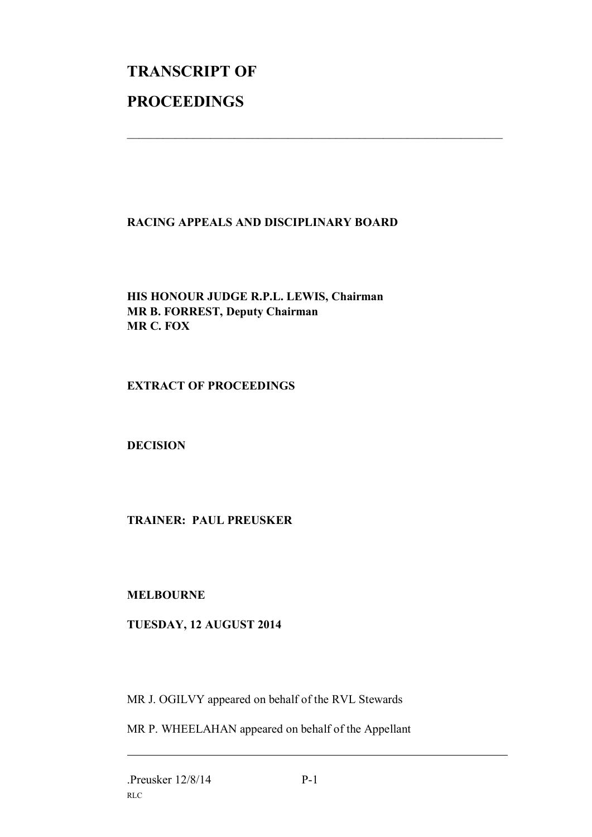# **TRANSCRIPT OF PROCEEDINGS**

#### **RACING APPEALS AND DISCIPLINARY BOARD**

 $\mathcal{L}_\text{max}$  , and the contribution of the contribution of the contribution of the contribution of the contribution of the contribution of the contribution of the contribution of the contribution of the contribution of t

#### **HIS HONOUR JUDGE R.P.L. LEWIS, Chairman MR B. FORREST, Deputy Chairman MR C. FOX**

#### **EXTRACT OF PROCEEDINGS**

**DECISION**

### **TRAINER: PAUL PREUSKER**

#### **MELBOURNE**

#### **TUESDAY, 12 AUGUST 2014**

MR J. OGILVY appeared on behalf of the RVL Stewards

MR P. WHEELAHAN appeared on behalf of the Appellant